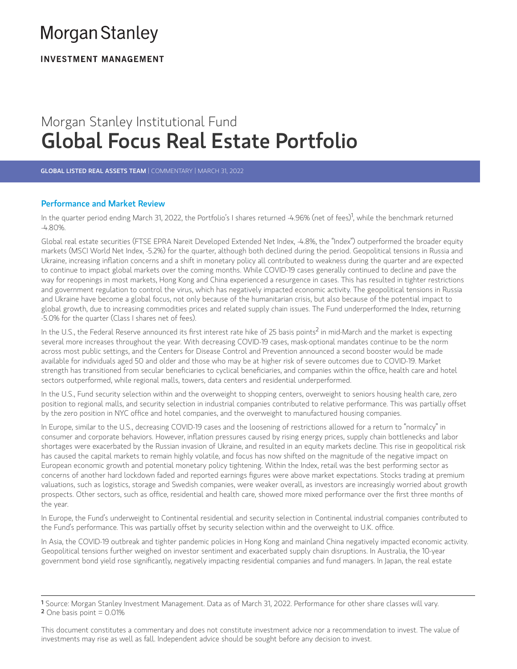# **Morgan Stanley**

**INVESTMENT MANAGEMENT** 

# Morgan Stanley Institutional Fund Global Focus Real Estate Portfolio

GLOBAL LISTED REAL ASSETS TEAM | COMMENTARY | MARCH 31, 2022

# Performance and Market Review

In the quarter period ending March 31, 2022, the Portfolio's I shares returned -4.96% (net of fees)<sup>1</sup>, while the benchmark returned -4.80%.

Global real estate securities (FTSE EPRA Nareit Developed Extended Net Index, -4.8%, the "Index") outperformed the broader equity markets (MSCI World Net Index, -5.2%) for the quarter, although both declined during the period. Geopolitical tensions in Russia and -4.80%.<br>Global real estate securities (FTSE EPRA Nareit Developed Extended Net Index, -4.8%, the "Index") outperformed the broader equity<br>markets (MSCI World Net Index, -5.2%) for the quarter, although both declined during to continue to impact global markets over the coming months. While COVID-19 cases generally continued to decline and pave the way for reopenings in most markets, Hong Kong and China experienced a resurgence in cases. This has resulted in tighter restrictions and government regulation to control the virus, which has negatively impacted economic activity. The geopolitical tensions in Russia and Ukraine have become a global focus, not only because of the humanitarian crisis, but also because of the potential impact to global growth, due to increasing commodities prices and related supply chain issues. The Fund underperformed the Index, returning<br>-5.0% for the quarter (Class I shares net of fees).<br>In the U.S., the Federal Reserve announ -5.0% for the quarter (Class I shares net of fees).

several more increases throughout the year. With decreasing COVID-19 cases, mask-optional mandates continue to be the norm across most public settings, and the Centers for Disease Control and Prevention announced a second booster would be made available for individuals aged 50 and older and those who may be at higher risk of severe outcomes due to COVID-19. Market severat more increases un'ougnout the year. With decreasing COVID-19 cases, mask-optional mandates continue to be the norm<br>across most public settings, and the Centers for Disease Control and Prevention announced a second sectors outperformed, while regional malls, towers, data centers and residential underperformed. In the U.S., the Federal Reserve announced its first interest rate hike of 25 basis points<sup>2</sup> in mid-March and the market is expecting

In the U.S., Fund security selection within and the overweight to shopping centers, overweight to seniors housing health care, zero position to regional malls, and security selection in industrial companies contributed to relative performance. This was partially offset by the zero position in NYC office and hotel companies, and the overweight to manufactured housing companies.

In Europe, similar to the U.S., decreasing COVID-19 cases and the loosening of restrictions allowed for a return to "normalcy" in oy the zero position in NTC ontee and notet companies, and the overweight to manuractured nousing companies.<br>In Europe, similar to the U.S., decreasing COVID-19 cases and the loosening of restrictions allowed for a return shortages were exacerbated by the Russian invasion of Ukraine, and resulted in an equity markets decline. This rise in geopolitical risk has caused the capital markets to remain highly volatile, and focus has now shifted on the magnitude of the negative impact on European economic growth and potential monetary policy tightening. Within the Index, retail was the best performing sector as concerns of another hard lockdown faded and reported earnings figures were above market expectations. Stocks trading at premium valuations, such as logistics, storage and Swedish companies, were weaker overall, as investors are increasingly worried about growth<br>prospects. Other sectors, such as office, residential and health care, showed more mixed the year.

In Europe, the Fund's underweight to Continental residential and security selection in Continental industrial companies contributed to<br>the Fund's performance. This was partially offset by security selection within and the

In Asia, the COVID-19 outbreak and tighter pandemic policies in Hong Kong and mainland China negatively impacted economic activity. Geopolitical tensions further weighed on investor sentiment and exacerbated supply chain disruptions. In Australia, the 10-year government bond yield rose significantly, negatively impacting residential companies and fund managers. In Japan, the real estate

This document constitutes a commentary and does not constitute investment advice nor a recommendation to invest. The value of investments may rise as well as fall. Independent advice should be sought before any decision to invest.

<sup>1</sup> Source: Morgan Stanley Investment Management. Data as of March 31, 2022. Performance for other share classes will vary.  $2$  One basis point = 0.01%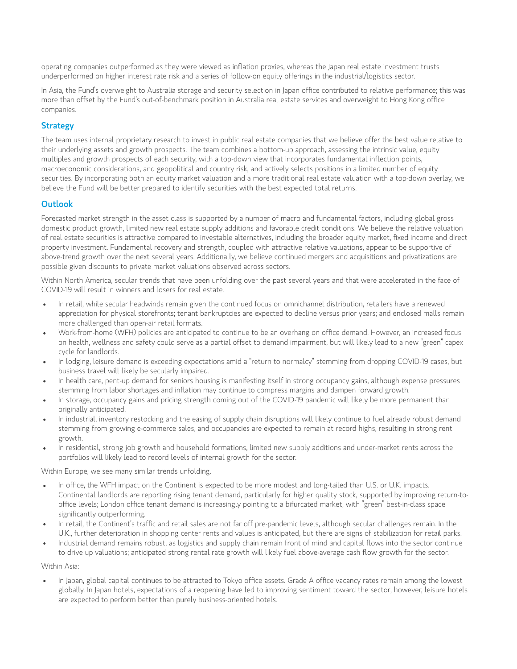operating companies outperformed as they were viewed as inflation proxies, whereas the Japan real estate investment trusts underperformed on higher interest rate risk and a series of follow-on equity offerings in the industrial/logistics sector. operating companies outperformed as they were viewed as inflation proxies, whereas the Japan real estate investment trusts<br>underperformed on higher interest rate risk and a series of follow-on equity offerings in the indus

operating companies outperformed as they were viewed as inflation proxies, whereas the Japan real estate investment trusts<br>underperformed on higher interest rate risk and a series of follow-on equity offerings in the indus companies.

## **Strategy**

The team uses internal proprietary research to invest in public real estate companies that we believe offer the best value relative to their underlying assets and growth prospects. The team combines a bottom-up approach, assessing the intrinsic value, equity<br>multiples and growth prospects of each security, with a top-down view that incorporates fundamenta **Strategy**<br>The team uses internal proprietary research to invest in public real estate companies that we believe offer the best valu<br>their underlying assets and growth prospects. The team combines a bottom-up approach, ass macroeconomic considerations, and geopolitical and country risk, and actively selects positions in a limited number of equity securities. By incorporating both an equity market valuation and a more traditional real estate valuation with a top-down overlay, we believe the Fund will be better prepared to identify securities with the best expected total returns.

### **Outlook**

Forecasted market strength in the asset class is supported by a number of macro and fundamental factors, including global gross domestic product growth, limited new real estate supply additions and favorable credit conditions. We believe the relative valuation of real estate securities is attractive compared to investable alternatives, including the broader equity market, fixed income and direct property investment. Fundamental recovery and strength, coupled with attractive relative valuations, appear to be supportive of above-trend growth over the next several years. Additionally, we believe continued mergers and acquisitions and privatizations are possible given discounts to private market valuations observed across sectors.

Within North America, secular trends that have been unfolding over the past several years and that were accelerated in the face of COVID-19 will result in winners and losers for real estate.

- In retail, while secular headwinds remain given the continued focus on omnichannel distribution, retailers have a renewed  $\bullet$ appreciation for physical storefronts; tenant bankruptcies are expected to decline versus prior years; and enclosed malls remain more challenged than open-air retail formats.
- Work-from-home (WFH) policies are anticipated to continue to be an overhang on office demand. However, an increased focus on health, wellness and safety could serve as a partial offset to demand impairment, but will likely lead to a new "green" capex cycle for landlords.
- In lodging, leisure demand is exceeding expectations amid a "return to normalcy" stemming from dropping COVID-19 cases, but business travel will likely be secularly impaired.
- In health care, pent-up demand for seniors housing is manifesting itself in strong occupancy gains, although expense pressures stemming from labor stemming is exceeding expectations annula the channel to commatty stemming from aropping cov<br>In health care, pent-up demand for seniors housing is manifesting itself in strong occupancy gains, although
- In storage, occupancy gains and pricing strength coming out of the COVID-19 pandemic will likely be more permanent than originally anticipated.
- In industrial, inventory restocking and the easing of supply chain disruptions will likely continue to fuel already robust demand stemming from growing e-commerce sales, and occupancies are expected to remain at record highs, resulting in strong rent growth.
- In residential, strong job growth and household formations, limited new supply additions and under-market rents across the portfolios will likely lead to record levels of internal growth for the sector.

Within Europe, we see many similar trends unfolding.

- In office, the WFH impact on the Continent is expected to be more modest and long-tailed than U.S. or U.K. impacts.  $\bullet$ continental landlords are reporting rising tenant demand, particularly for higher quality stock, supported by improving return-to-<br>Ontinental landlords are reporting rising tenant demand, particularly for higher quality st office levels; London office tenant demand is increasingly pointing to a bifurcated market, with "green" best-in-class space<br>significantly outperforming.
- In retail, the Continent's traffic and retail sales are not far off pre-pandemic levels, although secular challenges remain. In the U.K., further deterioration in shopping center rents and values is anticipated, but there are signs of stabilization for retail parks.
- Industrial demand remains robust, as logistics and supply chain remain front of mind and capital flows into the sector continue to drive up valuations; anticipated strong rental rate growth will likely fuel above-average cash flow growth for the sector.

Within Asia:

In Japan, global capital continues to be attracted to Tokyo office assets. Grade <sup>A</sup> office vacancy rates remain among the lowest globally. In Japan hotels, expectations of a reopening have led to improving sentiment toward the sector; however, leisure hotels are expected to perform better than purely business-oriented hotels.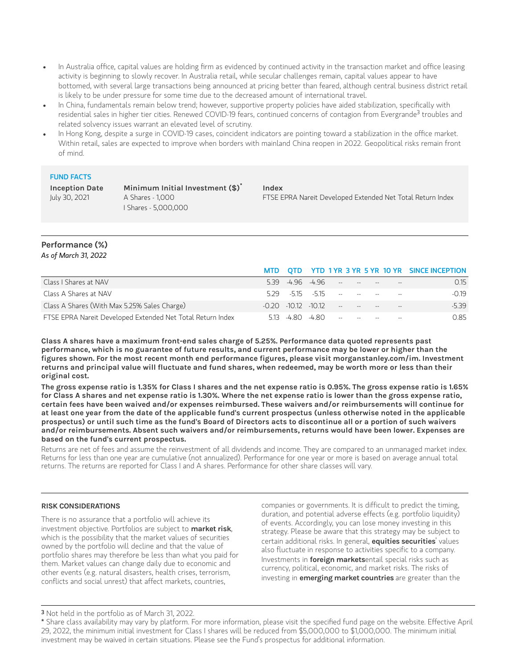- In Australia office, capital values are holding firm as evidenced by continued activity in the transaction market and office leas<br>activity is beginning to slowly recover. In Australia retail, while secular challenges remai In Australia office, capital values are holding firm as evidenced by continued activity in the transaction market and office leasing  $\bullet$ activity is beginning to slowly recover. In Australia retail, while secular challenges remain, capital values appear to have bottomed, with several large transactions being announced at pricing better than feared, although central business district retail is likely to be under pressure for some time due to the decreased amount of international travel.
- residential sales in higher tier cities. Renewed COVID-19 fears, continued concerns of contagion from Evergrande<sup>3</sup> troubles and related solvency issues warrant an elevated level of scrutiny. bottomed, with several large transactions being announced at pricing better than teared, although central business district ret<br>is likely to be under pressure for some time due to the decreased amount of international trav 3
- Within retail, sales are expected to improve when borders with mainland China reopen in 2022. Geopolitical risks remain front of mind.

#### FUND FACTS

**Inception Date** July 30, 2021

**Minimum Initial Investment (\$) \*** A Shares - 1,000 I Shares - 5,000,000

**Index** FTSE EPRA Nareit Developed Extended Net Total Return Index

#### **Performance (%)** *As of March 31, 2022*

|                                                            |                                   |  |  |                                                                                                                                                                                                                                                                    | MTD OTD YTD 1YR 3 YR 5 YR 10 YR SINCE INCEPTION |
|------------------------------------------------------------|-----------------------------------|--|--|--------------------------------------------------------------------------------------------------------------------------------------------------------------------------------------------------------------------------------------------------------------------|-------------------------------------------------|
| Class I Shares at NAV                                      |                                   |  |  | $5.39 + 96 + 96 = 20$                                                                                                                                                                                                                                              | 0.15                                            |
| Class A Shares at NAV                                      |                                   |  |  | $5.29 - 5.15 - 5.15 - 5.15 - 5.15 - 5.15 - 5.15 - 5.15 - 5.15 - 5.15 - 5.15 - 5.15 - 5.15 - 5.15 - 5.15 - 5.15 - 5.15 - 5.15 - 5.15 - 5.15 - 5.15 - 5.15 - 5.15 - 5.15 - 5.15 - 5.15 - 5.15 - 5.15 - 5.15 - 5.15 - 5.15 - 5.15 - 5.15 - 5.15 - 5.15 - 5.15 - 5.15$ | -0.19                                           |
| Class A Shares (With Max 5.25% Sales Charge)               | $-0.20$ $-10.12$ $-10.12$ $    -$ |  |  |                                                                                                                                                                                                                                                                    | $-539$                                          |
| FTSE EPRA Nareit Developed Extended Net Total Return Index |                                   |  |  | 513 480 480 - - - - -                                                                                                                                                                                                                                              | 0.85                                            |

**Class A shares have a maximum front-end sales charge of 5.25%. Performance data quoted represents past** performance, which is no guarantee of future results, and current performance may be lower or higher than the **figures shown. For the most recent month end performance figures, please visit morganstanley.com/im. Investment** returns and principal value will fluctuate and fund shares, when redeemed, may be worth more or less than their **original cost.**

The gross expense ratio is 1.35% for Class I shares and the net expense ratio is 0.95%. The gross expense ratio is 1.65% for Class A shares and net expense ratio is 1.30%. Where the net expense ratio is lower than the gross expense ratio, **certain fees have been waived and/or expenses reimbursed. These waivers and/or reimbursements will continue for** at least one year from the date of the applicable fund's current prospectus (unless otherwise noted in the applicable prospectus) or until such time as the fund's Board of Directors acts to discontinue all or a portion of such waivers **and/or reimbursements. Absent such waivers and/or reimbursements, returns would have been lower. Expenses are based on the fund's current prospectus.**

Returns are net of fees and assume the reinvestment of all dividends and income. They are compared to an unmanaged market index. Returns for less than one year are cumulative (not annualized). Performance for one year or more is based on average annual total returns. The returns are reported for Class I and A shares. Performance for other share classes will vary.

#### **RISK CONSIDERATIONS**

There is no assurance that a portfolio will achieve its investment objective. Portfolios are subject to **market risk**, which is the possibility that the market values of securities owned by the portfolio will decline and that the value of portfolio shares may therefore be less than what you paid for them. Market values can change daily due to economic and other events (e.g. natural disasters, health crises, terrorism, conflicts and social unrest) that affect markets, countries,

companies or governments. It is difficult to predict the timing, duration, and potential adverse effects (e.g. portfolio liquidity) of events. Accordingly, you can lose money investing in this strategy. Please be aware that this strategy may be subject to certain additional risks. In general, **equities securities**' values also fluctuate in response to activities specific to a company. Investments in **foreign markets**entail special risks such as currency, political, economic, and market risks. The risks of investing in **emerging market countries** are greater than the

Not held in the portfolio as of March 31, 2022. 3

Share class availability may vary by platform. For more information, please visit the specified fund page on the website. Effective April \*29, 2022, the minimum initial investment for Class I shares will be reduced from \$5,000,000 to \$1,000,000. The minimum initial investment may be waived in certain situations. Please see the Fund's prospectus for additional information.